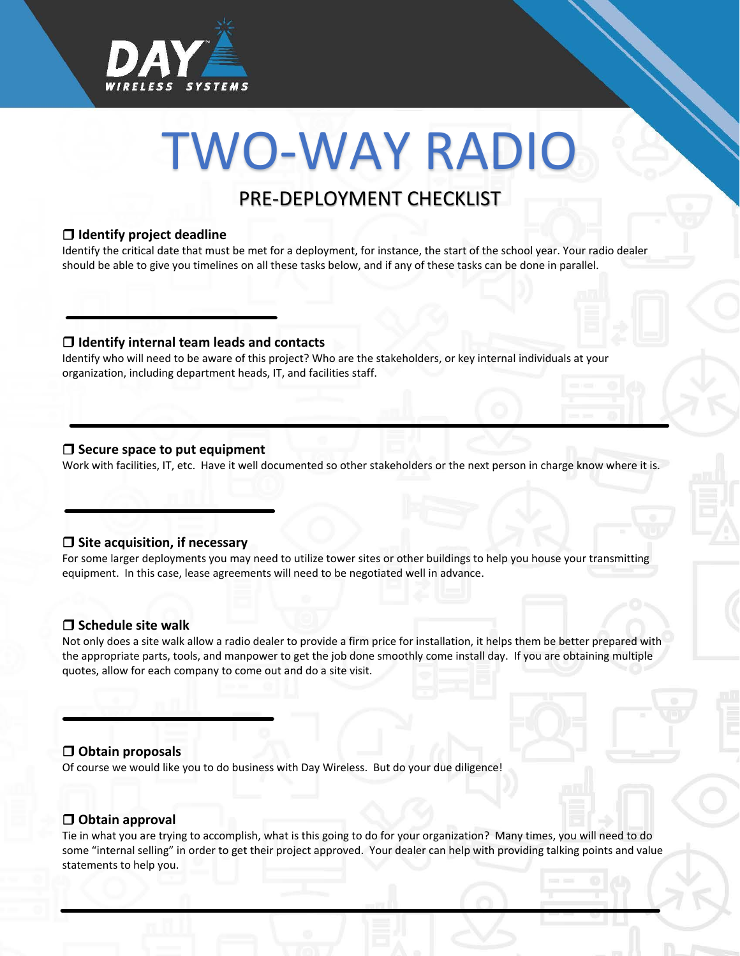

# TWO-WAY RADIO

## PRE-DEPLOYMENT CHECKLIST

#### ❒ **Identify project deadline**

Identify the critical date that must be met for a deployment, for instance, the start of the school year. Your radio dealer should be able to give you timelines on all these tasks below, and if any of these tasks can be done in parallel.

#### ❒ **Identify internal team leads and contacts**

Identify who will need to be aware of this project? Who are the stakeholders, or key internal individuals at your organization, including department heads, IT, and facilities staff.

#### ❒ **Secure space to put equipment**

Work with facilities, IT, etc. Have it well documented so other stakeholders or the next person in charge know where it is.

#### ❒ **Site acquisition, if necessary**

For some larger deployments you may need to utilize tower sites or other buildings to help you house your transmitting equipment. In this case, lease agreements will need to be negotiated well in advance.

#### ❒ **Schedule site walk**

Not only does a site walk allow a radio dealer to provide a firm price for installation, it helps them be better prepared with the appropriate parts, tools, and manpower to get the job done smoothly come install day. If you are obtaining multiple quotes, allow for each company to come out and do a site visit.

#### ❒ **Obtain proposals**

Of course we would like you to do business with Day Wireless. But do your due diligence!

#### ❒ **Obtain approval**

Tie in what you are trying to accomplish, what is this going to do for your organization? Many times, you will need to do some "internal selling" in order to get their project approved. Your dealer can help with providing talking points and value statements to help you.